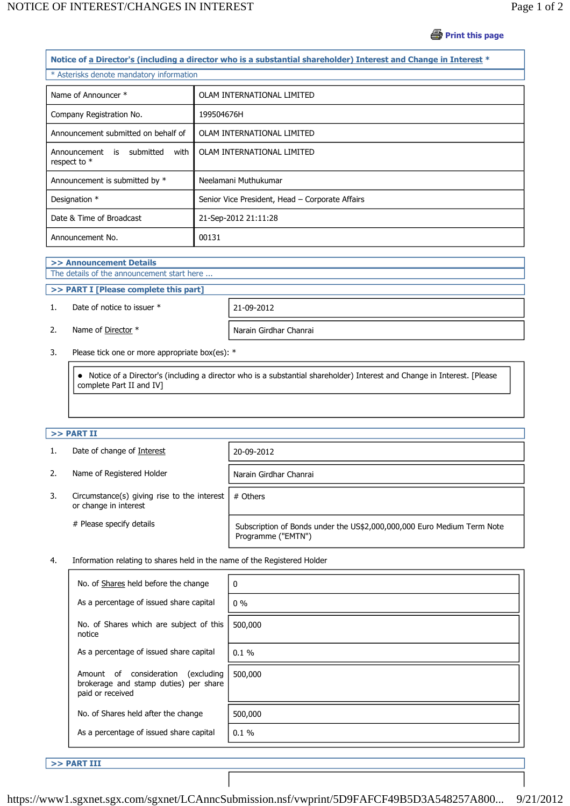## *<u></u>* **Print this page**

| Notice of a Director's (including a director who is a substantial shareholder) Interest and Change in Interest * |                                                 |  |  |  |
|------------------------------------------------------------------------------------------------------------------|-------------------------------------------------|--|--|--|
| * Asterisks denote mandatory information                                                                         |                                                 |  |  |  |
| Name of Announcer *                                                                                              | OLAM INTERNATIONAL LIMITED                      |  |  |  |
| Company Registration No.                                                                                         | 199504676H                                      |  |  |  |
| Announcement submitted on behalf of                                                                              | OLAM INTERNATIONAL LIMITED                      |  |  |  |
| Announcement is submitted<br>with<br>respect to *                                                                | OLAM INTERNATIONAL LIMITED                      |  |  |  |
| Announcement is submitted by *                                                                                   | Neelamani Muthukumar                            |  |  |  |
| Designation *                                                                                                    | Senior Vice President, Head - Corporate Affairs |  |  |  |
| Date & Time of Broadcast                                                                                         | 21-Sep-2012 21:11:28                            |  |  |  |
| Announcement No.                                                                                                 | 00131                                           |  |  |  |

# **>> Announcement Details**

# The details of the announcement start here ...

# **>> PART I [Please complete this part]**

## 1. Date of notice to issuer \* 21-09-2012



2. Name of <u>Director</u> \* Narain Girdhar Chanrai

3. Please tick one or more appropriate box(es): \*

 Notice of a Director's (including a director who is a substantial shareholder) Interest and Change in Interest. [Please complete Part II and IV]

### **>> PART II**

1. Date of change of Interest 20-09-2012

Narain Girdhar Chanrai

- 3. Circumstance(s) giving rise to the interest or change in interest # Others
	-

# Please specify details Subscription of Bonds under the US\$2,000,000,000 Euro Medium Term Note Programme ("EMTN")

4. Information relating to shares held in the name of the Registered Holder

| No. of Shares held before the change                                                                | 0       |
|-----------------------------------------------------------------------------------------------------|---------|
| As a percentage of issued share capital                                                             | $0\%$   |
| No. of Shares which are subject of this<br>notice                                                   | 500,000 |
| As a percentage of issued share capital                                                             | 0.1%    |
| Amount of consideration<br>(excluding)<br>brokerage and stamp duties) per share<br>paid or received | 500,000 |
| No. of Shares held after the change                                                                 | 500,000 |
| As a percentage of issued share capital                                                             | 0.1%    |

**>> PART III** 

```
https://www1.sgxnet.sgx.com/sgxnet/LCAnncSubmission.nsf/vwprint/5D9FAFCF49B5D3A548257A800... 9/21/2012
```